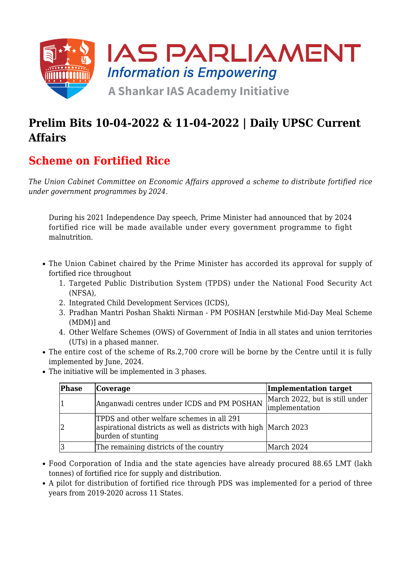

## **Prelim Bits 10-04-2022 & 11-04-2022 | Daily UPSC Current Affairs**

### **Scheme on Fortified Rice**

*The Union Cabinet Committee on Economic Affairs approved a scheme to distribute fortified rice under government programmes by 2024.*

During his 2021 Independence Day speech, Prime Minister had announced that by 2024 fortified rice will be made available under every government programme to fight malnutrition.

- The Union Cabinet chaired by the Prime Minister has accorded its approval for supply of fortified rice throughout
	- 1. Targeted Public Distribution System (TPDS) under the National Food Security Act (NFSA),
	- 2. Integrated Child Development Services (ICDS),
	- 3. Pradhan Mantri Poshan Shakti Nirman PM POSHAN [erstwhile Mid-Day Meal Scheme (MDM)] and
	- 4. Other Welfare Schemes (OWS) of Government of India in all states and union territories (UTs) in a phased manner.
- The entire cost of the scheme of Rs.2,700 crore will be borne by the Centre until it is fully implemented by June, 2024.
- The initiative will be implemented in 3 phases.

| Phase | Coverage                                                                                                                            | Implementation target                                   |
|-------|-------------------------------------------------------------------------------------------------------------------------------------|---------------------------------------------------------|
|       | Anganwadi centres under ICDS and PM POSHAN                                                                                          | March 2022, but is still under<br><i>implementation</i> |
|       | TPDS and other welfare schemes in all 291<br>aspirational districts as well as districts with high March 2023<br>burden of stunting |                                                         |
|       | The remaining districts of the country                                                                                              | March 2024                                              |

- Food Corporation of India and the state agencies have already procured 88.65 LMT (lakh tonnes) of fortified rice for supply and distribution.
- A pilot for distribution of fortified rice through PDS was implemented for a period of three years from 2019-2020 across 11 States.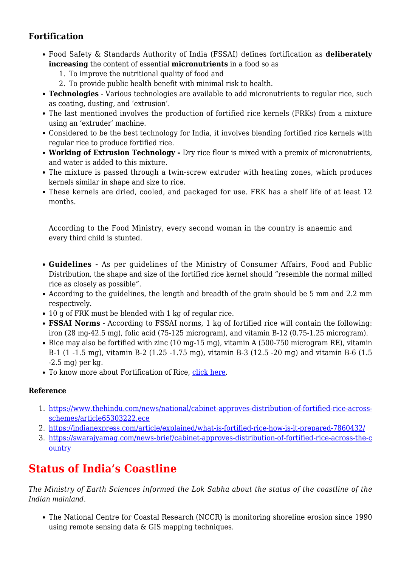### **Fortification**

- Food Safety & Standards Authority of India (FSSAI) defines fortification as **deliberately increasing** the content of essential **micronutrients** in a food so as
	- 1. To improve the nutritional quality of food and
	- 2. To provide public health benefit with minimal risk to health.
- **Technologies** Various technologies are available to add micronutrients to regular rice, such as coating, dusting, and 'extrusion'.
- The last mentioned involves the production of fortified rice kernels (FRKs) from a mixture using an 'extruder' machine.
- Considered to be the best technology for India, it involves blending fortified rice kernels with regular rice to produce fortified rice.
- **Working of Extrusion Technology** Dry rice flour is mixed with a premix of micronutrients, and water is added to this mixture.
- The mixture is passed through a twin-screw extruder with heating zones, which produces kernels similar in shape and size to rice.
- These kernels are dried, cooled, and packaged for use. FRK has a shelf life of at least 12 months.

According to the Food Ministry, every second woman in the country is anaemic and every third child is stunted.

- **Guidelines** As per guidelines of the Ministry of Consumer Affairs, Food and Public Distribution, the shape and size of the fortified rice kernel should "resemble the normal milled rice as closely as possible".
- According to the guidelines, the length and breadth of the grain should be 5 mm and 2.2 mm respectively.
- 10 g of FRK must be blended with 1 kg of regular rice.
- **FSSAI Norms** According to FSSAI norms, 1 kg of fortified rice will contain the following: iron (28 mg-42.5 mg), folic acid (75-125 microgram), and vitamin B-12 (0.75-1.25 microgram).
- Rice may also be fortified with zinc  $(10 \text{ mg}-15 \text{ mg})$ , vitamin A  $(500-750 \text{ microgram RE})$ , vitamin B-1 (1 -1.5 mg), vitamin B-2 (1.25 -1.75 mg), vitamin B-3 (12.5 -20 mg) and vitamin B-6 (1.5 -2.5 mg) per kg.
- To know more about Fortification of Rice, [click here.](https://www.iasparliament.com/current-affairs/prelim-bits-15-08-2021-16-08-2021-upsc-daily-current-affairs)

#### **Reference**

- 1. [https://www.thehindu.com/news/national/cabinet-approves-distribution-of-fortified-rice-across](https://www.thehindu.com/news/national/cabinet-approves-distribution-of-fortified-rice-across-schemes/article65303222.ece)[schemes/article65303222.ece](https://www.thehindu.com/news/national/cabinet-approves-distribution-of-fortified-rice-across-schemes/article65303222.ece)
- 2. <https://indianexpress.com/article/explained/what-is-fortified-rice-how-is-it-prepared-7860432/>
- 3. [https://swarajyamag.com/news-brief/cabinet-approves-distribution-of-fortified-rice-across-the-c](https://swarajyamag.com/news-brief/cabinet-approves-distribution-of-fortified-rice-across-the-country) [ountry](https://swarajyamag.com/news-brief/cabinet-approves-distribution-of-fortified-rice-across-the-country)

## **Status of India's Coastline**

*The Ministry of Earth Sciences informed the Lok Sabha about the status of the coastline of the Indian mainland.*

The National Centre for Coastal Research (NCCR) is monitoring shoreline erosion since 1990 using remote sensing data & GIS mapping techniques.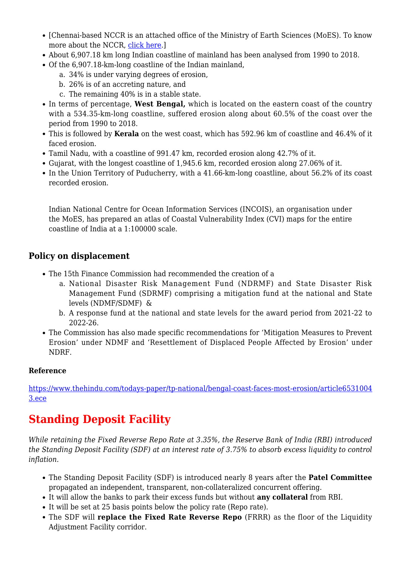- [Chennai-based NCCR is an attached office of the Ministry of Earth Sciences (MoES). To know more about the NCCR, [click here.](https://www.iasparliament.com/current-affairs/prelim-bits-21-10-2018)]
- About 6,907.18 km long Indian coastline of mainland has been analysed from 1990 to 2018.
- Of the 6,907.18-km-long coastline of the Indian mainland,
	- a. 34% is under varying degrees of erosion,
	- b. 26% is of an accreting nature, and
	- c. The remaining 40% is in a stable state.
- In terms of percentage, **West Bengal,** which is located on the eastern coast of the country with a 534.35-km-long coastline, suffered erosion along about 60.5% of the coast over the period from 1990 to 2018.
- This is followed by **Kerala** on the west coast, which has 592.96 km of coastline and 46.4% of it faced erosion.
- Tamil Nadu, with a coastline of 991.47 km, recorded erosion along 42.7% of it.
- Gujarat, with the longest coastline of 1,945.6 km, recorded erosion along 27.06% of it.
- In the Union Territory of Puducherry, with a 41.66-km-long coastline, about 56.2% of its coast recorded erosion.

Indian National Centre for Ocean Information Services (INCOIS), an organisation under the MoES, has prepared an atlas of Coastal Vulnerability Index (CVI) maps for the entire coastline of India at a 1:100000 scale.

### **Policy on displacement**

- The 15th Finance Commission had recommended the creation of a
	- a. National Disaster Risk Management Fund (NDRMF) and State Disaster Risk Management Fund (SDRMF) comprising a mitigation fund at the national and State levels (NDMF/SDMF) &
	- b. A response fund at the national and state levels for the award period from 2021-22 to 2022-26.
- The Commission has also made specific recommendations for 'Mitigation Measures to Prevent Erosion' under NDMF and 'Resettlement of Displaced People Affected by Erosion' under NDRF.

#### **Reference**

[https://www.thehindu.com/todays-paper/tp-national/bengal-coast-faces-most-erosion/article6531004](https://www.thehindu.com/todays-paper/tp-national/bengal-coast-faces-most-erosion/article65310043.ece) [3.ece](https://www.thehindu.com/todays-paper/tp-national/bengal-coast-faces-most-erosion/article65310043.ece)

# **Standing Deposit Facility**

*While retaining the Fixed Reverse Repo Rate at 3.35%, the Reserve Bank of India (RBI) introduced the Standing Deposit Facility (SDF) at an interest rate of 3.75% to absorb excess liquidity to control inflation.*

- The Standing Deposit Facility (SDF) is introduced nearly 8 years after the **Patel Committee** propagated an independent, transparent, non-collateralized concurrent offering.
- It will allow the banks to park their excess funds but without **any collateral** from RBI.
- It will be set at 25 basis points below the policy rate (Repo rate).
- The SDF will **replace the Fixed Rate Reverse Repo** (FRRR) as the floor of the Liquidity Adjustment Facility corridor.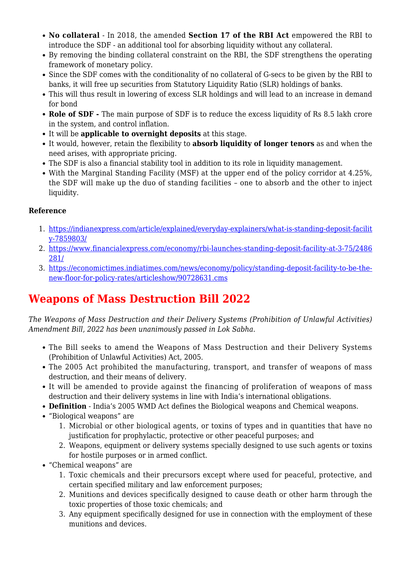- **No collateral** In 2018, the amended **Section 17 of the RBI Act** empowered the RBI to introduce the SDF - an additional tool for absorbing liquidity without any collateral.
- By removing the binding collateral constraint on the RBI, the SDF strengthens the operating framework of monetary policy.
- Since the SDF comes with the conditionality of no collateral of G-secs to be given by the RBI to banks, it will free up securities from Statutory Liquidity Ratio (SLR) holdings of banks.
- This will thus result in lowering of excess SLR holdings and will lead to an increase in demand for bond
- **Role of SDF** The main purpose of SDF is to reduce the excess liquidity of Rs 8.5 lakh crore in the system, and control inflation.
- It will be **applicable to overnight deposits** at this stage.
- It would, however, retain the flexibility to **absorb liquidity of longer tenors** as and when the need arises, with appropriate pricing.
- The SDF is also a financial stability tool in addition to its role in liquidity management.
- With the Marginal Standing Facility (MSF) at the upper end of the policy corridor at 4.25%, the SDF will make up the duo of standing facilities – one to absorb and the other to inject liquidity.

#### **Reference**

- 1. [https://indianexpress.com/article/explained/everyday-explainers/what-is-standing-deposit-facilit](https://indianexpress.com/article/explained/everyday-explainers/what-is-standing-deposit-facility-7859803/) [y-7859803/](https://indianexpress.com/article/explained/everyday-explainers/what-is-standing-deposit-facility-7859803/)
- 2. [https://www.financialexpress.com/economy/rbi-launches-standing-deposit-facility-at-3-75/2486](https://www.financialexpress.com/economy/rbi-launches-standing-deposit-facility-at-3-75/2486281/) [281/](https://www.financialexpress.com/economy/rbi-launches-standing-deposit-facility-at-3-75/2486281/)
- 3. [https://economictimes.indiatimes.com/news/economy/policy/standing-deposit-facility-to-be-the](https://economictimes.indiatimes.com/news/economy/policy/standing-deposit-facility-to-be-the-new-floor-for-policy-rates/articleshow/90728631.cms)[new-floor-for-policy-rates/articleshow/90728631.cms](https://economictimes.indiatimes.com/news/economy/policy/standing-deposit-facility-to-be-the-new-floor-for-policy-rates/articleshow/90728631.cms)

## **Weapons of Mass Destruction Bill 2022**

*The Weapons of Mass Destruction and their Delivery Systems (Prohibition of Unlawful Activities) Amendment Bill, 2022 has been unanimously passed in Lok Sabha.*

- The Bill seeks to amend the Weapons of Mass Destruction and their Delivery Systems (Prohibition of Unlawful Activities) Act, 2005.
- The 2005 Act prohibited the manufacturing, transport, and transfer of weapons of mass destruction, and their means of delivery.
- It will be amended to provide against the financing of proliferation of weapons of mass destruction and their delivery systems in line with India's international obligations.
- **Definition** India's 2005 WMD Act defines the Biological weapons and Chemical weapons.
- "Biological weapons" are
	- 1. Microbial or other biological agents, or toxins of types and in quantities that have no justification for prophylactic, protective or other peaceful purposes; and
	- 2. Weapons, equipment or delivery systems specially designed to use such agents or toxins for hostile purposes or in armed conflict.
- "Chemical weapons" are
	- 1. Toxic chemicals and their precursors except where used for peaceful, protective, and certain specified military and law enforcement purposes;
	- 2. Munitions and devices specifically designed to cause death or other harm through the toxic properties of those toxic chemicals; and
	- 3. Any equipment specifically designed for use in connection with the employment of these munitions and devices.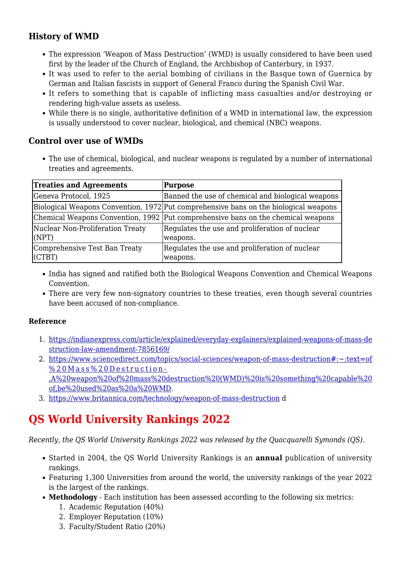### **History of WMD**

- The expression 'Weapon of Mass Destruction' (WMD) is usually considered to have been used first by the leader of the Church of England, the Archbishop of Canterbury, in 1937.
- It was used to refer to the aerial bombing of civilians in the Basque town of Guernica by German and Italian fascists in support of General Franco during the Spanish Civil War.
- It refers to something that is capable of inflicting mass casualties and/or destroying or rendering high-value assets as useless.
- While there is no single, authoritative definition of a WMD in international law, the expression is usually understood to cover nuclear, biological, and chemical (NBC) weapons.

#### **Control over use of WMDs**

The use of chemical, biological, and nuclear weapons is regulated by a number of international treaties and agreements.

| <b>Treaties and Agreements</b>              | Purpose                                                                              |
|---------------------------------------------|--------------------------------------------------------------------------------------|
| Geneva Protocol, 1925                       | Banned the use of chemical and biological weapons                                    |
|                                             | Biological Weapons Convention, 1972 Put comprehensive bans on the biological weapons |
|                                             | Chemical Weapons Convention, 1992 Put comprehensive bans on the chemical weapons     |
| Nuclear Non-Proliferation Treaty<br>(NPT)   | Regulates the use and proliferation of nuclear<br>weapons.                           |
| Comprehensive Test Ban Treaty<br>$ $ (CTBT) | Regulates the use and proliferation of nuclear<br>weapons.                           |

- India has signed and ratified both the Biological Weapons Convention and Chemical Weapons Convention.
- There are very few non-signatory countries to these treaties, even though several countries have been accused of non-compliance.

#### **Reference**

- 1. [https://indianexpress.com/article/explained/everyday-explainers/explained-weapons-of-mass-de](https://indianexpress.com/article/explained/everyday-explainers/explained-weapons-of-mass-destruction-law-amendment-7856169/) [struction-law-amendment-7856169/](https://indianexpress.com/article/explained/everyday-explainers/explained-weapons-of-mass-destruction-law-amendment-7856169/)
- 2. [https://www.sciencedirect.com/topics/social-sciences/weapon-of-mass-destruction#:~:text=of](https://www.sciencedirect.com/topics/social-sciences/weapon-of-mass-destruction#:~:text=of%20Mass%20Destruction-,A%20weapon%20of%20mass%20destruction%20(WMD)%20is%20something%20capable%20of,be%20used%20as%20a%20WMD) [%20Mass%20Destruction-](https://www.sciencedirect.com/topics/social-sciences/weapon-of-mass-destruction#:~:text=of%20Mass%20Destruction-,A%20weapon%20of%20mass%20destruction%20(WMD)%20is%20something%20capable%20of,be%20used%20as%20a%20WMD) [,A%20weapon%20of%20mass%20destruction%20\(WMD\)%20is%20something%20capable%20](https://www.sciencedirect.com/topics/social-sciences/weapon-of-mass-destruction#:~:text=of%20Mass%20Destruction-,A%20weapon%20of%20mass%20destruction%20(WMD)%20is%20something%20capable%20of,be%20used%20as%20a%20WMD) [of,be%20used%20as%20a%20WMD](https://www.sciencedirect.com/topics/social-sciences/weapon-of-mass-destruction#:~:text=of%20Mass%20Destruction-,A%20weapon%20of%20mass%20destruction%20(WMD)%20is%20something%20capable%20of,be%20used%20as%20a%20WMD).
- 3. <https://www.britannica.com/technology/weapon-of-mass-destruction> d

## **QS World University Rankings 2022**

*Recently, the QS World University Rankings 2022 was released by the Quacquarelli Symonds (QS).*

- Started in 2004, the QS World University Rankings is an **annual** publication of university rankings.
- Featuring 1,300 Universities from around the world, the university rankings of the year 2022 is the largest of the rankings.
- **Methodology** Each institution has been assessed according to the following six metrics:
	- 1. Academic Reputation (40%)
	- 2. Employer Reputation (10%)
	- 3. Faculty/Student Ratio (20%)